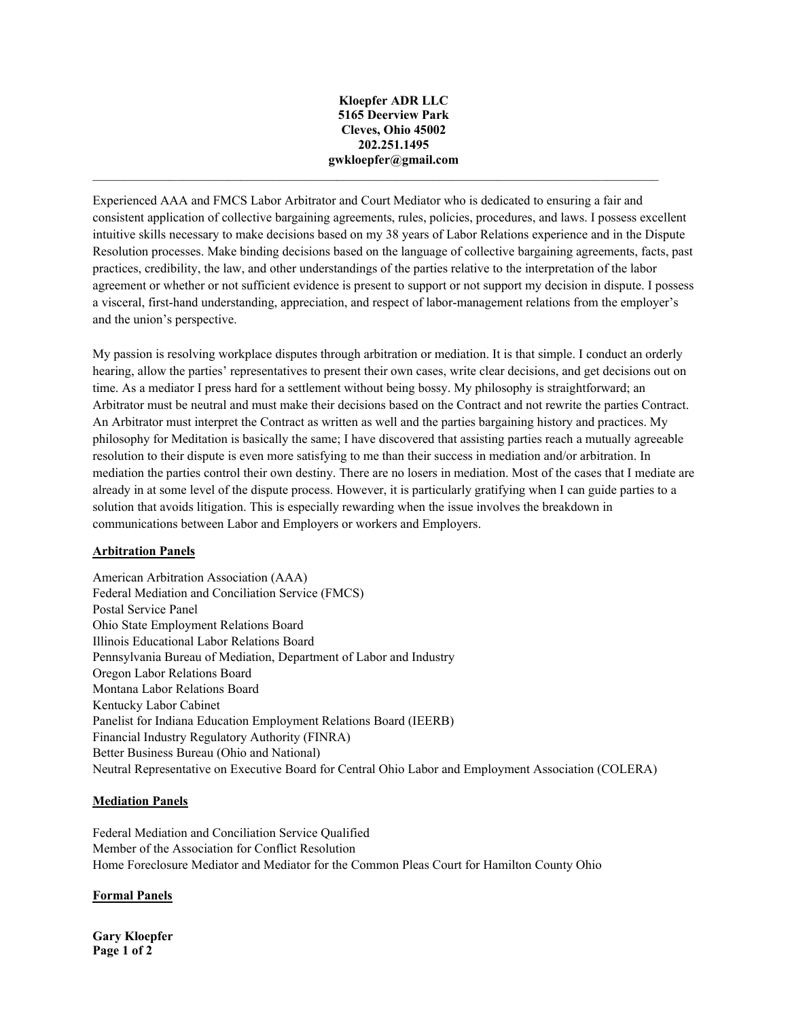#### **Kloepfer ADR LLC 5165 Deerview Park Cleves, Ohio 45002 202.251.1495 gwkloepfer@gmail.com**

 $\mathcal{L}_\mathcal{L} = \mathcal{L}_\mathcal{L} = \mathcal{L}_\mathcal{L} = \mathcal{L}_\mathcal{L} = \mathcal{L}_\mathcal{L} = \mathcal{L}_\mathcal{L} = \mathcal{L}_\mathcal{L} = \mathcal{L}_\mathcal{L} = \mathcal{L}_\mathcal{L} = \mathcal{L}_\mathcal{L} = \mathcal{L}_\mathcal{L} = \mathcal{L}_\mathcal{L} = \mathcal{L}_\mathcal{L} = \mathcal{L}_\mathcal{L} = \mathcal{L}_\mathcal{L} = \mathcal{L}_\mathcal{L} = \mathcal{L}_\mathcal{L}$ 

Experienced AAA and FMCS Labor Arbitrator and Court Mediator who is dedicated to ensuring a fair and consistent application of collective bargaining agreements, rules, policies, procedures, and laws. I possess excellent intuitive skills necessary to make decisions based on my 38 years of Labor Relations experience and in the Dispute Resolution processes. Make binding decisions based on the language of collective bargaining agreements, facts, past practices, credibility, the law, and other understandings of the parties relative to the interpretation of the labor agreement or whether or not sufficient evidence is present to support or not support my decision in dispute. I possess a visceral, first-hand understanding, appreciation, and respect of labor-management relations from the employer's and the union's perspective.

My passion is resolving workplace disputes through arbitration or mediation. It is that simple. I conduct an orderly hearing, allow the parties' representatives to present their own cases, write clear decisions, and get decisions out on time. As a mediator I press hard for a settlement without being bossy. My philosophy is straightforward; an Arbitrator must be neutral and must make their decisions based on the Contract and not rewrite the parties Contract. An Arbitrator must interpret the Contract as written as well and the parties bargaining history and practices. My philosophy for Meditation is basically the same; I have discovered that assisting parties reach a mutually agreeable resolution to their dispute is even more satisfying to me than their success in mediation and/or arbitration. In mediation the parties control their own destiny. There are no losers in mediation. Most of the cases that I mediate are already in at some level of the dispute process. However, it is particularly gratifying when I can guide parties to a solution that avoids litigation. This is especially rewarding when the issue involves the breakdown in communications between Labor and Employers or workers and Employers.

# **Arbitration Panels**

American Arbitration Association (AAA) Federal Mediation and Conciliation Service (FMCS) Postal Service Panel Ohio State Employment Relations Board Illinois Educational Labor Relations Board Pennsylvania Bureau of Mediation, Department of Labor and Industry Oregon Labor Relations Board Montana Labor Relations Board Kentucky Labor Cabinet Panelist for Indiana Education Employment Relations Board (IEERB) Financial Industry Regulatory Authority (FINRA) Better Business Bureau (Ohio and National) Neutral Representative on Executive Board for Central Ohio Labor and Employment Association (COLERA)

# **Mediation Panels**

Federal Mediation and Conciliation Service Qualified Member of the Association for Conflict Resolution Home Foreclosure Mediator and Mediator for the Common Pleas Court for Hamilton County Ohio

#### **Formal Panels**

**Gary Kloepfer Page 1 of 2**